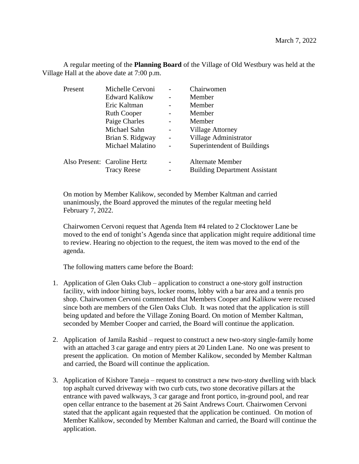A regular meeting of the **Planning Board** of the Village of Old Westbury was held at the Village Hall at the above date at 7:00 p.m.

| Present | Michelle Cervoni             |                          | Chairwomen                           |
|---------|------------------------------|--------------------------|--------------------------------------|
|         | <b>Edward Kalikow</b>        |                          | Member                               |
|         | Eric Kaltman                 |                          | Member                               |
|         | <b>Ruth Cooper</b>           |                          | Member                               |
|         | Paige Charles                |                          | Member                               |
|         | Michael Sahn                 | -                        | <b>Village Attorney</b>              |
|         | Brian S. Ridgway             | $\overline{\phantom{0}}$ | Village Administrator                |
|         | Michael Malatino             |                          | Superintendent of Buildings          |
|         | Also Present: Caroline Hertz |                          | <b>Alternate Member</b>              |
|         | <b>Tracy Reese</b>           |                          | <b>Building Department Assistant</b> |

On motion by Member Kalikow, seconded by Member Kaltman and carried unanimously, the Board approved the minutes of the regular meeting held February 7, 2022.

Chairwomen Cervoni request that Agenda Item #4 related to 2 Clocktower Lane be moved to the end of tonight's Agenda since that application might require additional time to review. Hearing no objection to the request, the item was moved to the end of the agenda.

The following matters came before the Board:

- 1. Application of Glen Oaks Club application to construct a one-story golf instruction facility, with indoor hitting bays, locker rooms, lobby with a bar area and a tennis pro shop. Chairwomen Cervoni commented that Members Cooper and Kalikow were recused since both are members of the Glen Oaks Club. It was noted that the application is still being updated and before the Village Zoning Board. On motion of Member Kaltman, seconded by Member Cooper and carried, the Board will continue the application.
- 2. Application of Jamila Rashid request to construct a new two-story single-family home with an attached 3 car garage and entry piers at 20 Linden Lane. No one was present to present the application. On motion of Member Kalikow, seconded by Member Kaltman and carried, the Board will continue the application.
- 3. Application of Kishore Taneja request to construct a new two-story dwelling with black top asphalt curved driveway with two curb cuts, two stone decorative pillars at the entrance with paved walkways, 3 car garage and front portico, in-ground pool, and rear open cellar entrance to the basement at 26 Saint Andrews Court. Chairwomen Cervoni stated that the applicant again requested that the application be continued. On motion of Member Kalikow, seconded by Member Kaltman and carried, the Board will continue the application.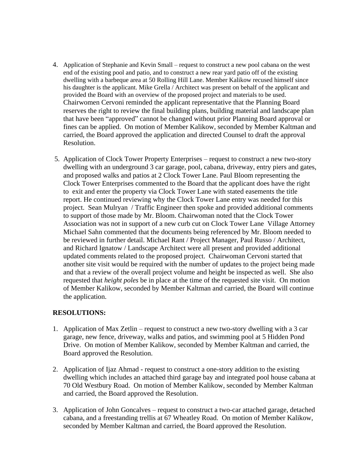- 4. Application of Stephanie and Kevin Small request to construct a new pool cabana on the west end of the existing pool and patio, and to construct a new rear yard patio off of the existing dwelling with a barbeque area at 50 Rolling Hill Lane. Member Kalikow recused himself since his daughter is the applicant. Mike Grella / Architect was present on behalf of the applicant and provided the Board with an overview of the proposed project and materials to be used. Chairwomen Cervoni reminded the applicant representative that the Planning Board reserves the right to review the final building plans, building material and landscape plan that have been "approved" cannot be changed without prior Planning Board approval or fines can be applied. On motion of Member Kalikow, seconded by Member Kaltman and carried, the Board approved the application and directed Counsel to draft the approval Resolution.
- 5. Application of Clock Tower Property Enterprises request to construct a new two-story dwelling with an underground 3 car garage, pool, cabana, driveway, entry piers and gates, and proposed walks and patios at 2 Clock Tower Lane. Paul Bloom representing the Clock Tower Enterprises commented to the Board that the applicant does have the right to exit and enter the property via Clock Tower Lane with stated easements the title report. He continued reviewing why the Clock Tower Lane entry was needed for this project. Sean Mulryan / Traffic Engineer then spoke and provided additional comments to support of those made by Mr. Bloom. Chairwoman noted that the Clock Tower Association was not in support of a new curb cut on Clock Tower Lane Village Attorney Michael Sahn commented that the documents being referenced by Mr. Bloom needed to be reviewed in further detail. Michael Rant / Project Manager, Paul Russo / Architect, and Richard Ignatow / Landscape Architect were all present and provided additional updated comments related to the proposed project. Chairwoman Cervoni started that another site visit would be required with the number of updates to the project being made and that a review of the overall project volume and height be inspected as well. She also requested that *height poles* be in place at the time of the requested site visit. On motion of Member Kalikow, seconded by Member Kaltman and carried, the Board will continue the application.

## **RESOLUTIONS:**

- 1. Application of Max Zetlin request to construct a new two-story dwelling with a 3 car garage, new fence, driveway, walks and patios, and swimming pool at 5 Hidden Pond Drive. On motion of Member Kalikow, seconded by Member Kaltman and carried, the Board approved the Resolution.
- 2. Application of Ijaz Ahmad request to construct a one-story addition to the existing dwelling which includes an attached third garage bay and integrated pool house cabana at 70 Old Westbury Road. On motion of Member Kalikow, seconded by Member Kaltman and carried, the Board approved the Resolution.
- 3. Application of John Goncalves request to construct a two-car attached garage, detached cabana, and a freestanding trellis at 67 Wheatley Road. On motion of Member Kalikow, seconded by Member Kaltman and carried, the Board approved the Resolution.